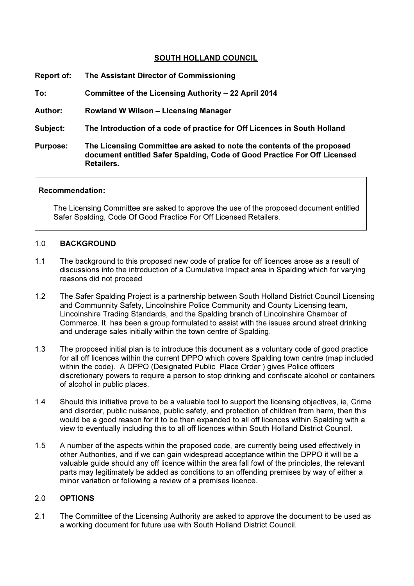# SOUTH HOLLAND COUNCIL

| <b>Report of:</b> | The Assistant Director of Commissioning                                                                                                                          |
|-------------------|------------------------------------------------------------------------------------------------------------------------------------------------------------------|
| To:               | Committee of the Licensing Authority – 22 April 2014                                                                                                             |
| <b>Author:</b>    | <b>Rowland W Wilson - Licensing Manager</b>                                                                                                                      |
| Subject:          | The Introduction of a code of practice for Off Licences in South Holland                                                                                         |
| <b>Purpose:</b>   | The Licensing Committee are asked to note the contents of the proposed<br>document entitled Safer Spalding, Code of Good Practice For Off Licensed<br>Retailers. |

# Recommendation:

The Licensing Committee are asked to approve the use of the proposed document entitled Safer Spalding, Code Of Good Practice For Off Licensed Retailers.

#### 1.0 BACKGROUND

- 1.1 The background to this proposed new code of pratice for off licences arose as a result of discussions into the introduction of a Cumulative Impact area in Spalding which for varying reasons did not proceed.
- 1.2 The Safer Spalding Project is a partnership between South Holland District Council Licensing and Communnity Safety, Lincolnshire Police Community and County Licensing team, Lincolnshire Trading Standards, and the Spalding branch of Lincolnshire Chamber of Commerce. It has been a group formulated to assist with the issues around street drinking and underage sales initially within the town centre of Spalding.
- 1.3 The proposed initial plan is to introduce this document as a voluntary code of good practice for all off licences within the current DPPO which covers Spalding town centre (map included within the code). A DPPO (Designated Public Place Order ) gives Police officers discretionary powers to require a person to stop drinking and confiscate alcohol or containers of alcohol in public places.
- 1.4 Should this initiative prove to be a valuable tool to support the licensing objectives, ie, Crime and disorder, public nuisance, public safety, and protection of children from harm, then this would be a good reason for it to be then expanded to all off licences within Spalding with a view to eventually including this to all off licences within South Holland District Council.
- 1.5 A number of the aspects within the proposed code, are currently being used effectively in other Authorities, and if we can gain widespread acceptance within the DPPO it will be a valuable guide should any off licence within the area fall fowl of the principles, the relevant parts may legitimately be added as conditions to an offending premises by way of either a minor variation or following a review of a premises licence.

# 2.0 OPTIONS

2.1 The Committee of the Licensing Authority are asked to approve the document to be used as a working document for future use with South Holland District Council.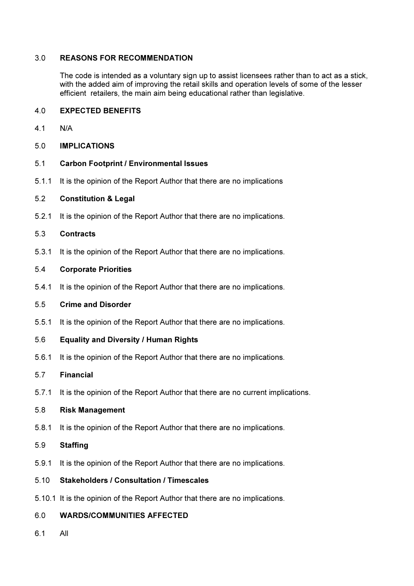# 3.0 REASONS FOR RECOMMENDATION

The code is intended as a voluntary sign up to assist licensees rather than to act as a stick, with the added aim of improving the retail skills and operation levels of some of the lesser efficient retailers, the main aim being educational rather than legislative.

#### 4.0 EXPECTED BENEFITS

- 4.1 N/A
- 5.0 IMPLICATIONS
- 5.1 Carbon Footprint / Environmental Issues
- 5.1.1 It is the opinion of the Report Author that there are no implications

#### 5.2 Constitution & Legal

5.2.1 It is the opinion of the Report Author that there are no implications.

## 5.3 Contracts

5.3.1 It is the opinion of the Report Author that there are no implications.

#### 5.4 Corporate Priorities

5.4.1 It is the opinion of the Report Author that there are no implications.

#### 5.5 Crime and Disorder

- 5.5.1 It is the opinion of the Report Author that there are no implications.
- 5.6 Equality and Diversity / Human Rights
- 5.6.1 It is the opinion of the Report Author that there are no implications.

# 5.7 Financial

5.7.1 It is the opinion of the Report Author that there are no current implications.

#### 5.8 Risk Management

5.8.1 It is the opinion of the Report Author that there are no implications.

# 5.9 Staffing

5.9.1 It is the opinion of the Report Author that there are no implications.

# 5.10 Stakeholders / Consultation / Timescales

5.10.1 It is the opinion of the Report Author that there are no implications.

# 6.0 WARDS/COMMUNITIES AFFECTED

6.1 All